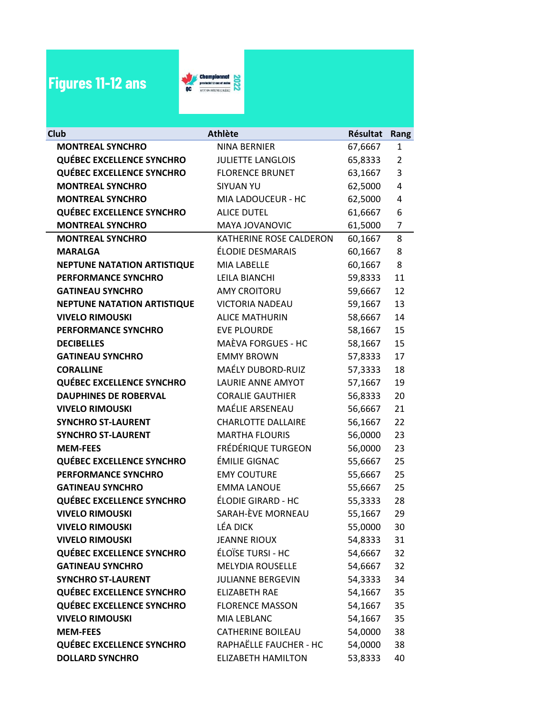## Figures 11-12 ans



| Club                               | <b>Athlète</b>            | <b>Résultat</b> | Rang           |
|------------------------------------|---------------------------|-----------------|----------------|
| <b>MONTREAL SYNCHRO</b>            | <b>NINA BERNIER</b>       | 67,6667         | 1              |
| <b>QUÉBEC EXCELLENCE SYNCHRO</b>   | <b>JULIETTE LANGLOIS</b>  | 65,8333         | $\overline{2}$ |
| <b>QUÉBEC EXCELLENCE SYNCHRO</b>   | <b>FLORENCE BRUNET</b>    | 63,1667         | 3              |
| <b>MONTREAL SYNCHRO</b>            | <b>SIYUAN YU</b>          | 62,5000         | 4              |
| <b>MONTREAL SYNCHRO</b>            | MIA LADOUCEUR - HC        | 62,5000         | 4              |
| <b>QUÉBEC EXCELLENCE SYNCHRO</b>   | <b>ALICE DUTEL</b>        | 61,6667         | 6              |
| <b>MONTREAL SYNCHRO</b>            | MAYA JOVANOVIC            | 61,5000         | $\overline{7}$ |
| <b>MONTREAL SYNCHRO</b>            | KATHERINE ROSE CALDERON   | 60,1667         | 8              |
| <b>MARALGA</b>                     | ÉLODIE DESMARAIS          | 60,1667         | 8              |
| <b>NEPTUNE NATATION ARTISTIQUE</b> | MIA LABELLE               | 60,1667         | 8              |
| <b>PERFORMANCE SYNCHRO</b>         | LEILA BIANCHI             | 59,8333         | 11             |
| <b>GATINEAU SYNCHRO</b>            | <b>AMY CROITORU</b>       | 59,6667         | 12             |
| <b>NEPTUNE NATATION ARTISTIQUE</b> | <b>VICTORIA NADEAU</b>    | 59,1667         | 13             |
| <b>VIVELO RIMOUSKI</b>             | <b>ALICE MATHURIN</b>     | 58,6667         | 14             |
| PERFORMANCE SYNCHRO                | <b>EVE PLOURDE</b>        | 58,1667         | 15             |
| <b>DECIBELLES</b>                  | MAÈVA FORGUES - HC        | 58,1667         | 15             |
| <b>GATINEAU SYNCHRO</b>            | <b>EMMY BROWN</b>         | 57,8333         | 17             |
| <b>CORALLINE</b>                   | <b>MAÉLY DUBORD-RUIZ</b>  | 57,3333         | 18             |
| <b>QUÉBEC EXCELLENCE SYNCHRO</b>   | LAURIE ANNE AMYOT         | 57,1667         | 19             |
| <b>DAUPHINES DE ROBERVAL</b>       | <b>CORALIE GAUTHIER</b>   | 56,8333         | 20             |
| <b>VIVELO RIMOUSKI</b>             | MAÉLIE ARSENEAU           | 56,6667         | 21             |
| <b>SYNCHRO ST-LAURENT</b>          | <b>CHARLOTTE DALLAIRE</b> | 56,1667         | 22             |
| <b>SYNCHRO ST-LAURENT</b>          | <b>MARTHA FLOURIS</b>     | 56,0000         | 23             |
| <b>MEM-FEES</b>                    | FRÉDÉRIQUE TURGEON        | 56,0000         | 23             |
| <b>QUÉBEC EXCELLENCE SYNCHRO</b>   | ÉMILIE GIGNAC             | 55,6667         | 25             |
| PERFORMANCE SYNCHRO                | <b>EMY COUTURE</b>        | 55,6667         | 25             |
| <b>GATINEAU SYNCHRO</b>            | <b>EMMA LANOUE</b>        | 55,6667         | 25             |
| <b>QUÉBEC EXCELLENCE SYNCHRO</b>   | ÉLODIE GIRARD - HC        | 55,3333         | 28             |
| <b>VIVELO RIMOUSKI</b>             | SARAH-ÈVE MORNEAU         | 55,1667         | 29             |
| <b>VIVELO RIMOUSKI</b>             | <b>LÉA DICK</b>           | 55,0000         | 30             |
| <b>VIVELO RIMOUSKI</b>             | <b>JEANNE RIOUX</b>       | 54,8333         | 31             |
| <b>QUÉBEC EXCELLENCE SYNCHRO</b>   | ÉLOÏSE TURSI - HC         | 54,6667         | 32             |
| <b>GATINEAU SYNCHRO</b>            | <b>MELYDIA ROUSELLE</b>   | 54,6667         | 32             |
| <b>SYNCHRO ST-LAURENT</b>          | <b>JULIANNE BERGEVIN</b>  | 54,3333         | 34             |
| <b>QUÉBEC EXCELLENCE SYNCHRO</b>   | <b>ELIZABETH RAE</b>      | 54,1667         | 35             |
| <b>QUÉBEC EXCELLENCE SYNCHRO</b>   | <b>FLORENCE MASSON</b>    | 54,1667         | 35             |
| <b>VIVELO RIMOUSKI</b>             | MIA LEBLANC               | 54,1667         | 35             |
| <b>MEM-FEES</b>                    | <b>CATHERINE BOILEAU</b>  | 54,0000         | 38             |
| <b>QUÉBEC EXCELLENCE SYNCHRO</b>   | RAPHAËLLE FAUCHER - HC    | 54,0000         | 38             |
| <b>DOLLARD SYNCHRO</b>             | <b>ELIZABETH HAMILTON</b> | 53,8333         | 40             |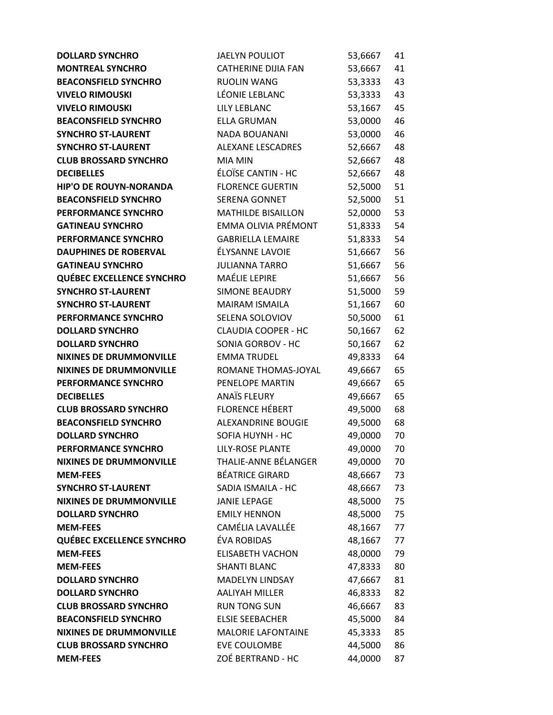| <b>DOLLARD SYNCHRO</b>             | <b>JAELYN POULIOT</b>                  | 53,6667            | 41       |
|------------------------------------|----------------------------------------|--------------------|----------|
| <b>MONTREAL SYNCHRO</b>            | <b>CATHERINE DIJIA FAN</b>             | 53,6667            | 41       |
| <b>BEACONSFIELD SYNCHRO</b>        | <b>RUOLIN WANG</b>                     | 53,3333            | 43       |
| <b>VIVELO RIMOUSKI</b>             | LÉONIE LEBLANC                         | 53,3333            | 43       |
| <b>VIVELO RIMOUSKI</b>             | <b>LILY LEBLANC</b>                    | 53,1667            | 45       |
| <b>BEACONSFIELD SYNCHRO</b>        | <b>ELLA GRUMAN</b>                     | 53,0000            | 46       |
| <b>SYNCHRO ST-LAURENT</b>          | NADA BOUANANI                          | 53,0000            | 46       |
| <b>SYNCHRO ST-LAURENT</b>          | ALEXANE LESCADRES                      | 52,6667            | 48       |
| <b>CLUB BROSSARD SYNCHRO</b>       | <b>MIA MIN</b>                         | 52,6667            | 48       |
| <b>DECIBELLES</b>                  | ÉLOÏSE CANTIN - HC                     | 52,6667            | 48       |
| <b>HIP'O DE ROUYN-NORANDA</b>      | <b>FLORENCE GUERTIN</b>                | 52,5000            | 51       |
| <b>BEACONSFIELD SYNCHRO</b>        | SERENA GONNET                          | 52,5000            | 51       |
| PERFORMANCE SYNCHRO                | <b>MATHILDE BISAILLON</b>              | 52,0000            | 53       |
| <b>GATINEAU SYNCHRO</b>            | EMMA OLIVIA PRÉMONT                    | 51,8333            | 54       |
| PERFORMANCE SYNCHRO                | <b>GABRIELLA LEMAIRE</b>               | 51,8333            | 54       |
| <b>DAUPHINES DE ROBERVAL</b>       | ÉLYSANNE LAVOIE                        | 51,6667            | 56       |
| <b>GATINEAU SYNCHRO</b>            | <b>JULIANNA TARRO</b>                  | 51,6667            | 56       |
| <b>QUÉBEC EXCELLENCE SYNCHRO</b>   | MAÉLIE LEPIRE                          | 51,6667            | 56       |
| <b>SYNCHRO ST-LAURENT</b>          | <b>SIMONE BEAUDRY</b>                  | 51,5000            | 59       |
| <b>SYNCHRO ST-LAURENT</b>          | MAIRAM ISMAILA                         | 51,1667            | 60       |
| PERFORMANCE SYNCHRO                | SELENA SOLOVIOV                        | 50,5000            | 61       |
| <b>DOLLARD SYNCHRO</b>             | <b>CLAUDIA COOPER - HC</b>             | 50,1667            | 62       |
| <b>DOLLARD SYNCHRO</b>             | SONIA GORBOV - HC                      | 50,1667            | 62       |
| <b>NIXINES DE DRUMMONVILLE</b>     | <b>EMMA TRUDEL</b>                     | 49,8333            | 64       |
| <b>NIXINES DE DRUMMONVILLE</b>     | ROMANE THOMAS-JOYAL                    | 49,6667            | 65       |
| PERFORMANCE SYNCHRO                | PENELOPE MARTIN                        | 49,6667            | 65       |
| <b>DECIBELLES</b>                  | <b>ANAÏS FLEURY</b>                    | 49,6667            | 65       |
| <b>CLUB BROSSARD SYNCHRO</b>       | <b>FLORENCE HÉBERT</b>                 | 49,5000            | 68       |
| <b>BEACONSFIELD SYNCHRO</b>        | ALEXANDRINE BOUGIE                     | 49,5000            | 68       |
| <b>DOLLARD SYNCHRO</b>             | SOFIA HUYNH - HC                       | 49,0000            | 70       |
| <b>PERFORMANCE SYNCHRO</b>         | <b>LILY-ROSE PLANTE</b>                | 49,0000            | 70       |
| <b>NIXINES DE DRUMMONVILLE</b>     | THALIE-ANNE BÉLANGER                   | 49,0000            | 70       |
| <b>MEM-FEES</b>                    | <b>BÉATRICE GIRARD</b>                 | 48,6667            | 73       |
| <b>SYNCHRO ST-LAURENT</b>          | SADIA ISMAILA - HC                     | 48,6667            | 73       |
| <b>NIXINES DE DRUMMONVILLE</b>     | <b>JANIE LEPAGE</b>                    | 48,5000            | 75       |
| <b>DOLLARD SYNCHRO</b>             | <b>EMILY HENNON</b>                    | 48,5000            | 75       |
| <b>MEM-FEES</b>                    | CAMÉLIA LAVALLÉE                       | 48,1667            | 77       |
| <b>QUÉBEC EXCELLENCE SYNCHRO</b>   | ÉVA ROBIDAS<br><b>ELISABETH VACHON</b> | 48,1667            | 77       |
| <b>MEM-FEES</b><br><b>MEM-FEES</b> | <b>SHANTI BLANC</b>                    | 48,0000<br>47,8333 | 79       |
| <b>DOLLARD SYNCHRO</b>             | MADELYN LINDSAY                        |                    | 80<br>81 |
| <b>DOLLARD SYNCHRO</b>             | <b>AALIYAH MILLER</b>                  | 47,6667<br>46,8333 | 82       |
| <b>CLUB BROSSARD SYNCHRO</b>       | <b>RUN TONG SUN</b>                    |                    |          |
| <b>BEACONSFIELD SYNCHRO</b>        | <b>ELSIE SEEBACHER</b>                 | 46,6667<br>45,5000 | 83<br>84 |
| <b>NIXINES DE DRUMMONVILLE</b>     | <b>MALORIE LAFONTAINE</b>              | 45,3333            | 85       |
| <b>CLUB BROSSARD SYNCHRO</b>       | EVE COULOMBE                           | 44,5000            | 86       |
| <b>MEM-FEES</b>                    | ZOÉ BERTRAND - HC                      | 44,0000            | 87       |
|                                    |                                        |                    |          |